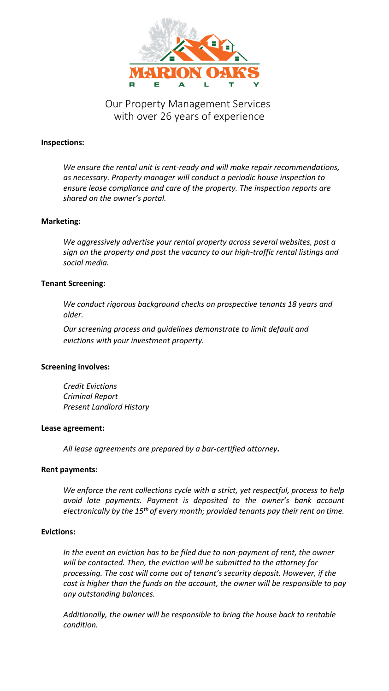

# Our Property Management Services with over 26 years of experience

# **Inspections:**

*We ensure the rental unit is rent-ready and will make repair recommendations, as necessary. Property manager will conduct a periodic house inspection to ensure lease compliance and care of the property. The inspection reports are shared on the owner's portal.*

# **Marketing:**

*We aggressively advertise your rental property across several websites, post a sign on the property and post the vacancy to our high-traffic rental listings and social media.* 

# **Tenant Screening:**

*We conduct rigorous background checks on prospective tenants 18 years and older.*

*Our screening process and guidelines demonstrate to limit default and evictions with your investment property.*

# **Screening involves:**

*Credit Evictions Criminal Report Present Landlord History*

#### **Lease agreement:**

*All lease agreements are prepared by a bar-certified attorney.*

#### **Rent payments:**

*We enforce the rent collections cycle with a strict, yet respectful, process to help avoid late payments. Payment is deposited to the owner's bank account electronically by the 15th of every month; provided tenants pay their rent on time.*

# **Evictions:**

In the event an eviction has to be filed due to non-payment of rent, the owner *will be contacted. Then, the eviction will be submitted to the attorney for processing. The cost will come out of tenant's security deposit. However, if the cost is higher than the funds on the account, the owner will be responsible to pay any outstanding balances.*

*Additionally, the owner will be responsible to bring the house back to rentable condition.*